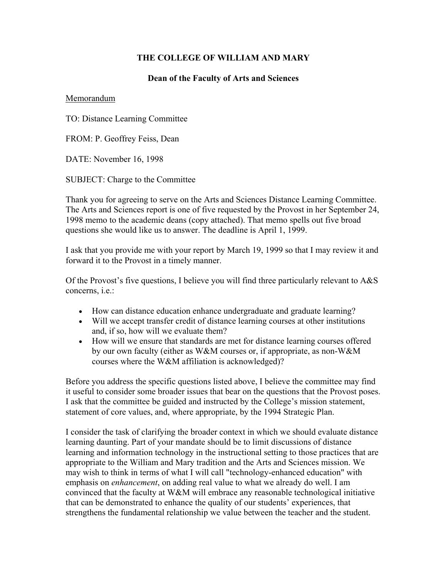## **THE COLLEGE OF WILLIAM AND MARY**

## **Dean of the Faculty of Arts and Sciences**

## **Memorandum**

TO: Distance Learning Committee

FROM: P. Geoffrey Feiss, Dean

DATE: November 16, 1998

SUBJECT: Charge to the Committee

Thank you for agreeing to serve on the Arts and Sciences Distance Learning Committee. The Arts and Sciences report is one of five requested by the Provost in her September 24, 1998 memo to the academic deans (copy attached). That memo spells out five broad questions she would like us to answer. The deadline is April 1, 1999.

I ask that you provide me with your report by March 19, 1999 so that I may review it and forward it to the Provost in a timely manner.

Of the Provost's five questions, I believe you will find three particularly relevant to A&S concerns, i.e.:

- How can distance education enhance undergraduate and graduate learning?
- Will we accept transfer credit of distance learning courses at other institutions and, if so, how will we evaluate them?
- How will we ensure that standards are met for distance learning courses offered by our own faculty (either as W&M courses or, if appropriate, as non-W&M courses where the W&M affiliation is acknowledged)?

Before you address the specific questions listed above, I believe the committee may find it useful to consider some broader issues that bear on the questions that the Provost poses. I ask that the committee be guided and instructed by the College's mission statement, statement of core values, and, where appropriate, by the 1994 Strategic Plan.

I consider the task of clarifying the broader context in which we should evaluate distance learning daunting. Part of your mandate should be to limit discussions of distance learning and information technology in the instructional setting to those practices that are appropriate to the William and Mary tradition and the Arts and Sciences mission. We may wish to think in terms of what I will call "technology-enhanced education" with emphasis on *enhancement*, on adding real value to what we already do well. I am convinced that the faculty at W&M will embrace any reasonable technological initiative that can be demonstrated to enhance the quality of our students' experiences, that strengthens the fundamental relationship we value between the teacher and the student.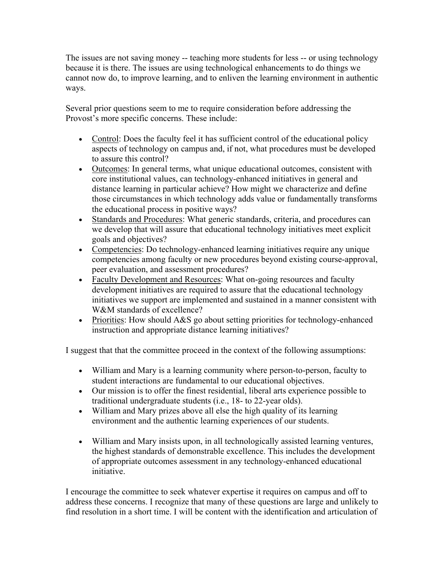The issues are not saving money -- teaching more students for less -- or using technology because it is there. The issues are using technological enhancements to do things we cannot now do, to improve learning, and to enliven the learning environment in authentic ways.

Several prior questions seem to me to require consideration before addressing the Provost's more specific concerns. These include:

- Control: Does the faculty feel it has sufficient control of the educational policy aspects of technology on campus and, if not, what procedures must be developed to assure this control?
- Outcomes: In general terms, what unique educational outcomes, consistent with core institutional values, can technology-enhanced initiatives in general and distance learning in particular achieve? How might we characterize and define those circumstances in which technology adds value or fundamentally transforms the educational process in positive ways?
- Standards and Procedures: What generic standards, criteria, and procedures can we develop that will assure that educational technology initiatives meet explicit goals and objectives?
- Competencies: Do technology-enhanced learning initiatives require any unique competencies among faculty or new procedures beyond existing course-approval, peer evaluation, and assessment procedures?
- Faculty Development and Resources: What on-going resources and faculty development initiatives are required to assure that the educational technology initiatives we support are implemented and sustained in a manner consistent with W&M standards of excellence?
- Priorities: How should A&S go about setting priorities for technology-enhanced instruction and appropriate distance learning initiatives?

I suggest that that the committee proceed in the context of the following assumptions:

- William and Mary is a learning community where person-to-person, faculty to student interactions are fundamental to our educational objectives.
- Our mission is to offer the finest residential, liberal arts experience possible to traditional undergraduate students (i.e., 18- to 22-year olds).
- William and Mary prizes above all else the high quality of its learning environment and the authentic learning experiences of our students.
- William and Mary insists upon, in all technologically assisted learning ventures, the highest standards of demonstrable excellence. This includes the development of appropriate outcomes assessment in any technology-enhanced educational initiative.

I encourage the committee to seek whatever expertise it requires on campus and off to address these concerns. I recognize that many of these questions are large and unlikely to find resolution in a short time. I will be content with the identification and articulation of